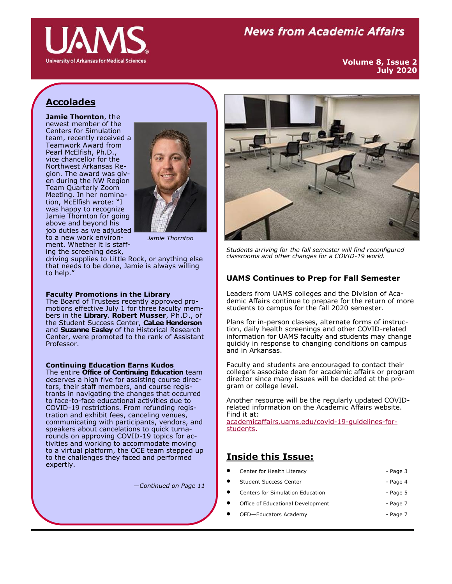

# **News from Academic Affairs**

**Volume 8, Issue 2 July 2020**

# **Accolades**

**Jamie Thornton**, the newest member of the Centers for Simulation team, recently received a Teamwork Award from Pearl McElfish, Ph.D., vice chancellor for the Northwest Arkansas Region. The award was given during the NW Region Team Quarterly Zoom Meeting. In her nomination, McElfish wrote: "I was happy to recognize Jamie Thornton for going above and beyond his job duties as we adjusted to a new work environment. Whether it is staff-



*Jamie Thornton*

ing the screening desk, driving supplies to Little Rock, or anything else that needs to be done, Jamie is always willing to help."

#### **Faculty Promotions in the Library**

The Board of Trustees recently approved promotions effective July 1 for three faculty members in the **Library**. **Robert Musser**, P h.D., of the Student Success Center, **CaLee Henderson** and **Suzanne Easley** of the Historical Research Center, were promoted to the rank of Assistant Professor.

## **Continuing Education Earns Kudos**

The entire **Office of Continuing Education** team deserves a high five for assisting course directors, their staff members, and course registrants in navigating the changes that occurred to face-to-face educational activities due to COVID-19 restrictions. From refunding registration and exhibit fees, canceling venues, communicating with participants, vendors, and speakers about cancelations to quick turnarounds on approving COVID-19 topics for activities and working to accommodate moving to a virtual platform, the OCE team stepped up to the challenges they faced and performed expertly.

*—Continued on Page 11*



*Students arriving for the fall semester will find reconfigured classrooms and other changes for a COVID-19 world.*

### **UAMS Continues to Prep for Fall Semester**

Leaders from UAMS colleges and the Division of Academic Affairs continue to prepare for the return of more students to campus for the fall 2020 semester.

Plans for in-person classes, alternate forms of instruction, daily health screenings and other COVID-related information for UAMS faculty and students may change quickly in response to changing conditions on campus and in Arkansas.

Faculty and students are encouraged to contact their college's associate dean for academic affairs or program director since many issues will be decided at the program or college level.

Another resource will be the regularly updated COVIDrelated information on the Academic Affairs website. Find it at: [academicaffairs.uams.edu/covid](https://academicaffairs.uams.edu/covid-19-guidelines-for-students/)-19-guidelines-for[students.](https://academicaffairs.uams.edu/covid-19-guidelines-for-students/) 

### **Inside this Issue:**

- Center for Health Literacy **Center for Health Literacy Page 3**
- Student Success Center Page 4
	- Centers for Simulation Education The Centers of Page 5
- Office of Educational Development Page 7
- OED-Educators Academy Page 7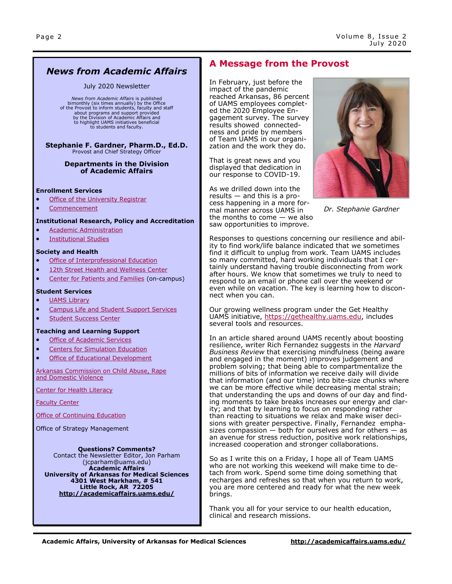## *News from Academic Affairs*

#### July 2020 Newsletter

*News from Academic Affairs* is published bimonthly (six times annually) by the Office of the Provost to inform students, faculty and staff about programs and support provided by the Division of Academic Affairs and to highlight UAMS initiatives beneficial to students and faculty.

**Stephanie F. Gardner, Pharm.D., Ed.D.**<br>Provost and Chief Strategy Officer

#### **Departments in the Division of Academic Affairs**

#### **Enrollment Services**

- [Office of the University Registrar](http://registrar.uams.edu)
- [Commencement](http://commencement.uams.edu/)

#### **Institutional Research, Policy and Accreditation**

- [Academic Administration](http://academicaffairs.uams.edu/departments/esaa/)
- [Institutional Studies](http://academicaffairs.uams.edu/academic-support-and-services/institutional-studies/office-of-institutional-studies/)

#### **Society and Health**

- [Office of Interprofessional Education](http://ipe.uams.edu/)
- [12th Street Health and Wellness Center](http://healthon12th.uams.edu/)
- [Center for Patients and Families](http://inside.uams.edu/pfcc/) (on-campus)

#### **Student Services**

#### [UAMS Library](http://library.uams.edu/)

- [Campus Life and Student Support Services](http://studentlife.uams.edu/)
- [Student Success Center](http://library.uams.edu/library-info/aassc/)

#### **Teaching and Learning Support**

- [Office of Academic Services](http://oas.uams.edu/)
- [Centers for Simulation Education](http://medicalsim.uams.edu/)
- [Office of Educational Development](http://www.uams.edu/oed/)

[Arkansas Commission on Child Abuse, Rape](http://accardv.uams.edu/)  [and Domestic Violence](http://accardv.uams.edu/)

[Center for Health Literacy](http://healthliteracy.uams.edu/)

[Faculty Center](https://faculty.uams.edu/?_ga=2.24920499.842587946.1552592405-2006374230.1459800576)

[Office of Continuing Education](https://ce.uams.edu/?_ga=2.147633022.877535657.1552308613-1212331186.1541086923)

Office of Strategy Management

**Questions? Comments?** Contact the Newsletter Editor, Jon Parham [\(jcparham@uams.edu\)](mailto:jdelavan@uams.edu) **Academic Affairs University of Arkansas for Medical Sciences 4301 West Markham, # 541 Little Rock, AR 72205 <http://academicaffairs.uams.edu/>**

### **A Message from the Provost**

In February, just before the impact of the pandemic reached Arkansas, 86 percent of UAMS employees completed the 2020 Employee Engagement survey. The survey results showed connectedness and pride by members of Team UAMS in our organization and the work they do.

That is great news and you displayed that dedication in our response to COVID-19.

As we drilled down into the results — and this is a process happening in a more formal manner across UAMS in the months to come — we also saw opportunities to improve.



*Dr. Stephanie Gardner*

Responses to questions concerning our resilience and ability to find work/life balance indicated that we sometimes find it difficult to unplug from work. Team UAMS includes so many committed, hard working individuals that I certainly understand having trouble disconnecting from work after hours. We know that sometimes we truly to need to respond to an email or phone call over the weekend or even while on vacation. The key is learning how to disconnect when you can.

Our growing wellness program under the Get Healthy UAMS initiative, [https://gethealthy.uams.edu,](https://gethealthy.uams.edu/) includes several tools and resources.

In an article shared around UAMS recently about boosting resilience, writer Rich Fernandez suggests in the *Harvard Business Review* that exercising mindfulness (being aware and engaged in the moment) improves judgement and problem solving; that being able to compartmentalize the millions of bits of information we receive daily will divide that information (and our time) into bite-size chunks where we can be more effective while decreasing mental strain; that understanding the ups and downs of our day and finding moments to take breaks increases our energy and clarity; and that by learning to focus on responding rather than reacting to situations we relax and make wiser decisions with greater perspective. Finally, Fernandez emphasizes compassion  $-$  both for ourselves and for others  $-$  as an avenue for stress reduction, positive work relationships, increased cooperation and stronger collaborations.

So as I write this on a Friday, I hope all of Team UAMS who are not working this weekend will make time to detach from work. Spend some time doing something that recharges and refreshes so that when you return to work, you are more centered and ready for what the new week brings.

Thank you all for your service to our health education, clinical and research missions.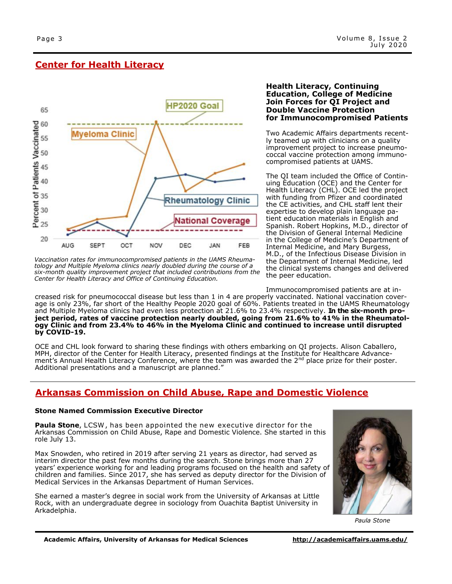### **Center for Health Literacy**



*Vaccination rates for immunocompromised patients in the UAMS Rheumatology and Multiple Myeloma clinics nearly doubled during the course of a six-month quality improvement project that included contributions from the Center for Health Literacy and Office of Continuing Education.*

creased risk for pneumococcal disease but less than 1 in 4 are properly vaccinated. National vaccination coverage is only 23%, far short of the Healthy People 2020 goal of 60%. Patients treated in the UAMS Rheumatology and Multiple Myeloma clinics had even less protection at 21.6% to 23.4% respectively. **In the six-month project period, rates of vaccine protection nearly doubled, going from 21.6% to 41% in the Rheumatology Clinic and from 23.4% to 46% in the Myeloma Clinic and continued to increase until disrupted by COVID-19.**

OCE and CHL look forward to sharing these findings with others embarking on QI projects. Alison Caballero, MPH, director of the Center for Health Literacy, presented findings at the Institute for Healthcare Advancement's Annual Health Literacy Conference, where the team was awarded the 2<sup>nd</sup> place prize for their poster. Additional presentations and a manuscript are planned."

## **Arkansas Commission on Child Abuse, Rape and Domestic Violence**

#### **Stone Named Commission Executive Director**

**Paula Stone**, LCSW , has been appointed the new executive director for the Arkansas Commission on Child Abuse, Rape and Domestic Violence. She started in this role July 13.

Max Snowden, who retired in 2019 after serving 21 years as director, had served as interim director the past few months during the search. Stone brings more than 27 years' experience working for and leading programs focused on the health and safety of children and families. Since 2017, she has served as deputy director for the Division of Medical Services in the Arkansas Department of Human Services.

She earned a master's degree in social work from the University of Arkansas at Little Rock, with an undergraduate degree in sociology from Ouachita Baptist University in Arkadelphia.



*Paula Stone*

#### **Health Literacy, Continuing Education, College of Medicine Join Forces for QI Project and Double Vaccine Protection for Immunocompromised Patients**

Two Academic Affairs departments recently teamed up with clinicians on a quality improvement project to increase pneumococcal vaccine protection among immunocompromised patients at UAMS.

The QI team included the Office of Continuing Education (OCE) and the Center for Health Literacy (CHL). OCE led the project with funding from Pfizer and coordinated the CE activities, and CHL staff lent their expertise to develop plain language patient education materials in English and Spanish. Robert Hopkins, M.D., director of the Division of General Internal Medicine in the College of Medicine's Department of Internal Medicine, and Mary Burgess, M.D., of the Infectious Disease Division in the Department of Internal Medicine, led the clinical systems changes and delivered the peer education.

Immunocompromised patients are at in-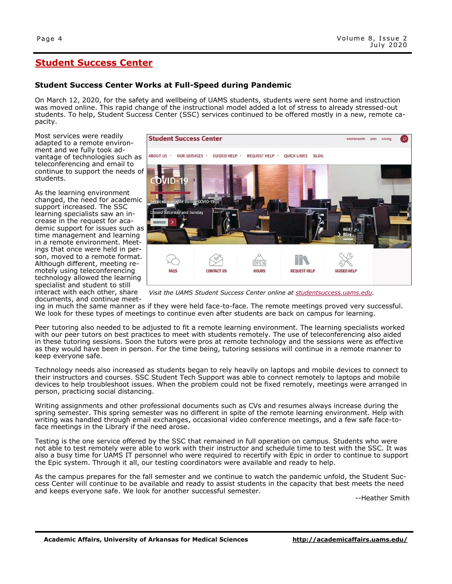# **Student Success Center**

### **Student Success Center Works at Full-Speed during Pandemic**

On March 12, 2020, for the safety and wellbeing of UAMS students, students were sent home and instruction was moved online. This rapid change of the instructional model added a lot of stress to already stressed-out students. To help, Student Success Center (SSC) services continued to be offered mostly in a new, remote capacity.

Most services were readily adapted to a remote environment and we fully took advantage of technologies such as teleconferencing and email to continue to support the needs of students.

As the learning environment changed, the need for academic support increased. The SSC learning specialists saw an increase in the request for academic support for issues such as time management and learning in a remote environment. Meetings that once were held in person, moved to a remote format. Although different, meeting remotely using teleconferencing technology allowed the learning specialist and student to still interact with each other, share documents, and continue meet-



*Visit the UAMS Student Success Center online at [studentsuccess.uams.edu.](https://studentsuccess.uams.edu/)* 

ing in much the same manner as if they were held face-to-face. The remote meetings proved very successful. We look for these types of meetings to continue even after students are back on campus for learning.

Peer tutoring also needed to be adjusted to fit a remote learning environment. The learning specialists worked with our peer tutors on best practices to meet with students remotely. The use of teleconferencing also aided in these tutoring sessions. Soon the tutors were pros at remote technology and the sessions were as effective as they would have been in person. For the time being, tutoring sessions will continue in a remote manner to keep everyone safe.

Technology needs also increased as students began to rely heavily on laptops and mobile devices to connect to their instructors and courses. SSC Student Tech Support was able to connect remotely to laptops and mobile devices to help troubleshoot issues. When the problem could not be fixed remotely, meetings were arranged in person, practicing social distancing.

Writing assignments and other professional documents such as CVs and resumes always increase during the spring semester. This spring semester was no different in spite of the remote learning environment. Help with writing was handled through email exchanges, occasional video conference meetings, and a few safe face-toface meetings in the Library if the need arose.

Testing is the one service offered by the SSC that remained in full operation on campus. Students who were not able to test remotely were able to work with their instructor and schedule time to test with the SSC. It was also a busy time for UAMS IT personnel who were required to recertify with Epic in order to continue to support the Epic system. Through it all, our testing coordinators were available and ready to help.

As the campus prepares for the fall semester and we continue to watch the pandemic unfold, the Student Success Center will continue to be available and ready to assist students in the capacity that best meets the need and keeps everyone safe. We look for another successful semester.

--Heather Smith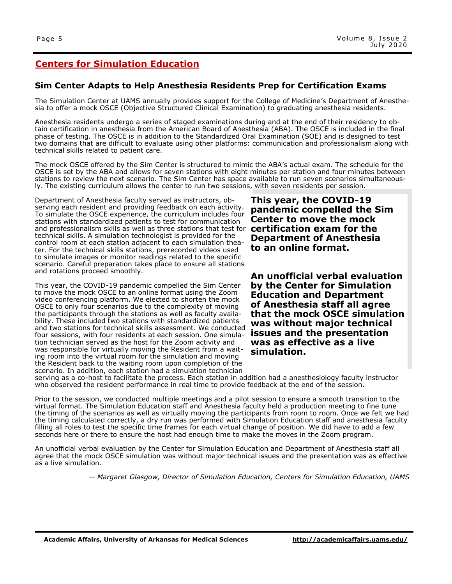# **Centers for Simulation Education**

### **Sim Center Adapts to Help Anesthesia Residents Prep for Certification Exams**

The Simulation Center at UAMS annually provides support for the College of Medicine's Department of Anesthesia to offer a mock OSCE (Objective Structured Clinical Examination) to graduating anesthesia residents.

Anesthesia residents undergo a series of staged examinations during and at the end of their residency to obtain certification in anesthesia from the American Board of Anesthesia (ABA). The OSCE is included in the final phase of testing. The OSCE is in addition to the Standardized Oral Examination (SOE) and is designed to test two domains that are difficult to evaluate using other platforms: communication and professionalism along with technical skills related to patient care.

The mock OSCE offered by the Sim Center is structured to mimic the ABA's actual exam. The schedule for the OSCE is set by the ABA and allows for seven stations with eight minutes per station and four minutes between stations to review the next scenario. The Sim Center has space available to run seven scenarios simultaneously. The existing curriculum allows the center to run two sessions, with seven residents per session.

Department of Anesthesia faculty served as instructors, observing each resident and providing feedback on each activity. To simulate the OSCE experience, the curriculum includes four stations with standardized patients to test for communication and professionalism skills as well as three stations that test for **certification exam for the**  technical skills. A simulation technologist is provided for the control room at each station adjacent to each simulation theater. For the technical skills stations, prerecorded videos used to simulate images or monitor readings related to the specific scenario. Careful preparation takes place to ensure all stations and rotations proceed smoothly.

This year, the COVID-19 pandemic compelled the Sim Center to move the mock OSCE to an online format using the Zoom video conferencing platform. We elected to shorten the mock OSCE to only four scenarios due to the complexity of moving the participants through the stations as well as faculty availability. These included two stations with standardized patients and two stations for technical skills assessment. We conducted four sessions, with four residents at each session. One simulation technician served as the host for the Zoom activity and was responsible for virtually moving the Resident from a waiting room into the virtual room for the simulation and moving the Resident back to the waiting room upon completion of the scenario. In addition, each station had a simulation technician

**This year, the COVID-19 pandemic compelled the Sim Center to move the mock Department of Anesthesia to an online format.** 

**An unofficial verbal evaluation by the Center for Simulation Education and Department of Anesthesia staff all agree that the mock OSCE simulation was without major technical issues and the presentation was as effective as a live simulation.** 

serving as a co-host to facilitate the process. Each station in addition had a anesthesiology faculty instructor who observed the resident performance in real time to provide feedback at the end of the session.

Prior to the session, we conducted multiple meetings and a pilot session to ensure a smooth transition to the virtual format. The Simulation Education staff and Anesthesia faculty held a production meeting to fine tune the timing of the scenarios as well as virtually moving the participants from room to room. Once we felt we had the timing calculated correctly, a dry run was performed with Simulation Education staff and anesthesia faculty filling all roles to test the specific time frames for each virtual change of position. We did have to add a few seconds here or there to ensure the host had enough time to make the moves in the Zoom program.

An unofficial verbal evaluation by the Center for Simulation Education and Department of Anesthesia staff all agree that the mock OSCE simulation was without major technical issues and the presentation was as effective as a live simulation.

*-- Margaret Glasgow, Director of Simulation Education, Centers for Simulation Education, UAMS*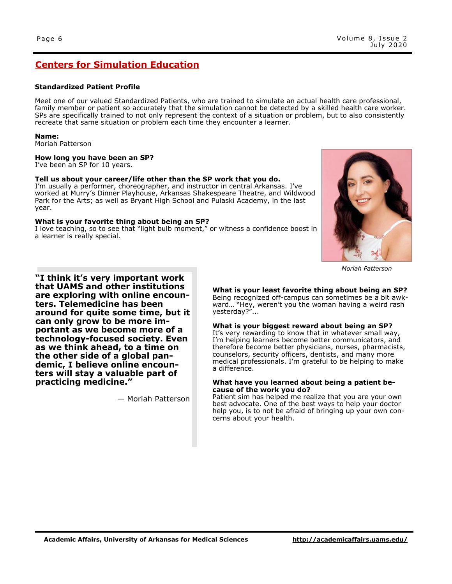### **Centers for Simulation Education**

#### **Standardized Patient Profile**

Meet one of our valued Standardized Patients, who are trained to simulate an actual health care professional, family member or patient so accurately that the simulation cannot be detected by a skilled health care worker. SPs are specifically trained to not only represent the context of a situation or problem, but to also consistently recreate that same situation or problem each time they encounter a learner.

#### **Name:**

Moriah Patterson

#### **How long you have been an SP?**

I've been an SP for 10 years.

#### **Tell us about your career/life other than the SP work that you do.**

I'm usually a performer, choreographer, and instructor in central Arkansas. I've worked at Murry's Dinner Playhouse, Arkansas Shakespeare Theatre, and Wildwood Park for the Arts; as well as Bryant High School and Pulaski Academy, in the last year.

#### **What is your favorite thing about being an SP?**

I love teaching, so to see that "light bulb moment," or witness a confidence boost in a learner is really special.



*Moriah Patterson*

**"I think it's very important work that UAMS and other institutions are exploring with online encounters. Telemedicine has been around for quite some time, but it can only grow to be more important as we become more of a technology-focused society. Even as we think ahead, to a time on the other side of a global pandemic, I believe online encounters will stay a valuable part of practicing medicine."**

— Moriah Patterson

**What is your least favorite thing about being an SP?** Being recognized off-campus can sometimes be a bit awkward… "Hey, weren't you the woman having a weird rash yesterday?"...

**What is your biggest reward about being an SP?** It's very rewarding to know that in whatever small way, I'm helping learners become better communicators, and therefore become better physicians, nurses, pharmacists, counselors, security officers, dentists, and many more medical professionals. I'm grateful to be helping to make a difference.

#### **What have you learned about being a patient because of the work you do?**

Patient sim has helped me realize that you are your own best advocate. One of the best ways to help your doctor help you, is to not be afraid of bringing up your own concerns about your health.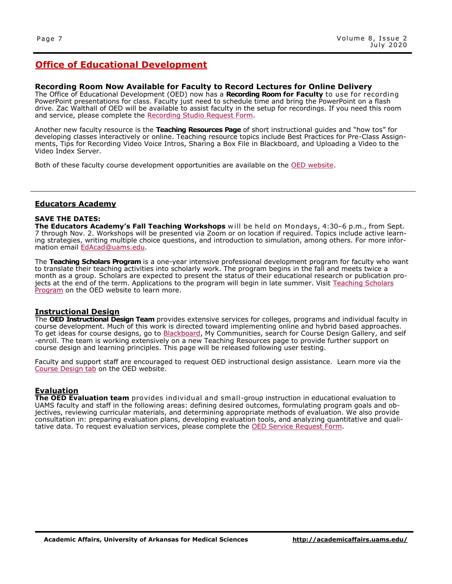#### **Recording Room Now Available for Faculty to Record Lectures for Online Delivery**

The Office of Educational Development (OED) now has a **Recording Room for Faculty** to use for recording PowerPoint presentations for class. Faculty just need to schedule time and bring the PowerPoint on a flash drive. Zac Walthall of OED will be available to assist faculty in the setup for recordings. If you need this room and service, please complete the [Recording Studio Request Form.](http://educationaldevelopment.uams.edu/home/recording-studio-request-form/)

Another new faculty resource is the **Teaching Resources Page** of short instructional guides and "how tos" for developing classes interactively or online. Teaching resource topics include Best Practices for Pre-Class Assignments, Tips for Recording Video Voice Intros, Sharing a Box File in Blackboard, and Uploading a Video to the Video Index Server.

Both of these faculty course development opportunities are available on the [OED website.](http://educationaldevelopment.uams.edu/)

#### **Educators Academy**

#### **SAVE THE DATES:**

**The Educators Academy's Fall Teaching Workshops** w ill be held on Mondays, 4:30–6 p.m., from Sept. 7 through Nov. 2. Workshops will be presented via Zoom or on location if required. Topics include active learning strategies, writing multiple choice questions, and introduction to simulation, among others. For more information email [EdAcad@uams.edu.](mailto:EdAcad@uams.edu)

The **Teaching Scholars Program** is a one-year intensive professional development program for faculty who want to translate their teaching activities into scholarly work. The program begins in the fall and meets twice a month as a group. Scholars are expected to present the status of their educational research or publication projects at the end of the term. Applications to the program will begin in late summer. Visit Teaching Scholars [Program](http://educationaldevelopment.uams.edu/edacad/teaching-scholars-program/) on the OED website to learn more.

#### **Instructional Design**

The **OED Instructional Design Team** provides extensive services for colleges, programs and individual faculty in course development. Much of this work is directed toward implementing online and hybrid based approaches. To get ideas for course designs, go to [Blackboard,](https://uams.blackboard.com/) My Communities, search for Course Design Gallery, and self -enroll. The team is working extensively on a new Teaching Resources page to provide further support on course design and learning principles. This page will be released following user testing.

Faculty and support staff are encouraged to request OED instructional design assistance. Learn more via the [Course Design tab](http://educationaldevelopment.uams.edu/instructional-design/) on the OED website.

#### **Evaluation**

**The OED Evaluation team** provides individual and small-group instruction in educational evaluation to UAMS faculty and staff in the following areas: defining desired outcomes, formulating program goals and objectives, reviewing curricular materials, and determining appropriate methods of evaluation. We also provide consultation in: preparing evaluation plans, developing evaluation tools, and analyzing quantitative and qualitative data. To request evaluation services, please complete the [OED Service Request Form.](http://educationaldevelopment.uams.edu/2019/09/05/service-request-form/)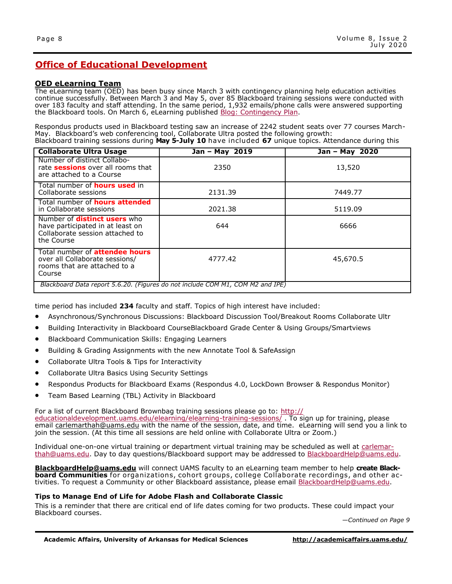#### **OED eLearning Team**

The eLearning team (OED) has been busy since March 3 with contingency planning help education activities continue successfully. Between March 3 and May 5, over 85 Blackboard training sessions were conducted with over 183 faculty and staff attending. In the same period, 1,932 emails/phone calls were answered supporting the Blackboard tools. On March 6, eLearning published [Blog: Contingency Plan.](http://educationaldevelopment.uams.edu/2020/03/06/be-ready-prepare-a-backup-plan-for-teaching/)

Respondus products used in Blackboard testing saw an increase of 2242 student seats over 77 courses March-May. Blackboard's web conferencing tool, Collaborate Ultra posted the following growth: Blackboard training sessions during **May 5-July 10** have included **67** unique topics. Attendance during this

| <b>Collaborate Ultra Usage</b>                                                                                           | Jan - May 2019 | Jan - May 2020 |  |  |  |
|--------------------------------------------------------------------------------------------------------------------------|----------------|----------------|--|--|--|
| Number of distinct Collabo-<br>rate sessions over all rooms that<br>are attached to a Course                             | 2350           | 13,520         |  |  |  |
| Total number of <b>hours used</b> in<br>Collaborate sessions                                                             | 2131.39        | 7449.77        |  |  |  |
| Total number of <b>hours attended</b><br>in Collaborate sessions                                                         | 2021.38        | 5119.09        |  |  |  |
| Number of <b>distinct users</b> who<br>have participated in at least on<br>Collaborate session attached to<br>the Course | 644            | 6666           |  |  |  |
| Total number of <b>attendee hours</b><br>over all Collaborate sessions/<br>rooms that are attached to a<br>Course        | 4777.42        | 45,670.5       |  |  |  |
| Blackboard Data report 5.6.20. (Figures do not include COM M1, COM M2 and IPE)                                           |                |                |  |  |  |

time period has included **234** faculty and staff. Topics of high interest have included:

- Asynchronous/Synchronous Discussions: Blackboard Discussion Tool/Breakout Rooms Collaborate Ultr
- Building Interactivity in Blackboard CourseBlackboard Grade Center & Using Groups/Smartviews
- Blackboard Communication Skills: Engaging Learners
- Building & Grading Assignments with the new Annotate Tool & SafeAssign
- Collaborate Ultra Tools & Tips for Interactivity
- Collaborate Ultra Basics Using Security Settings
- Respondus Products for Blackboard Exams (Respondus 4.0, LockDown Browser & Respondus Monitor)
- Team Based Learning (TBL) Activity in Blackboard

For a list of current Blackboard Brownbag training sessions please go to: [http://](http://educationaldevelopment.uams.edu/elearning/elearning-training-sessions/) [educationaldevelopment.uams.edu/elearning/elearning](http://educationaldevelopment.uams.edu/elearning/elearning-training-sessions/)-training-sessions/ . To sign up for training, please email [carlemarthah@uams.edu](mailto:carlemarthah@uams.edu) with the name of the session, date, and time. eLearning will send you a link to join the session. (At this time all sessions are held online with Collaborate Ultra or Zoom.)

Individual one-on-one virtual training or department virtual training may be scheduled as well at [carlemar](mailto:carlemarthah@uams.edu)[thah@uams.edu.](mailto:carlemarthah@uams.edu) Day to day questions/Blackboard support may be addressed to [BlackboardHelp@uams.edu.](mailto:BlackboardHelp@uams.edu)

**[BlackboardHelp@uams.edu](mailto:BlackboardHelp@uams.edu)** will connect UAMS faculty to an eLearning team member to help **create Blackboard Communities** for organizations, cohort groups, college Collaborate recordings, and other ac-tivities. To request a Community or other Blackboard assistance, please email [BlackboardHelp@uams.edu.](mailto:BlackboardHelp@uams.edu)

#### **Tips to Manage End of Life for Adobe Flash and Collaborate Classic**

This is a reminder that there are critical end of life dates coming for two products. These could impact your Blackboard courses.

*—Continued on Page 9*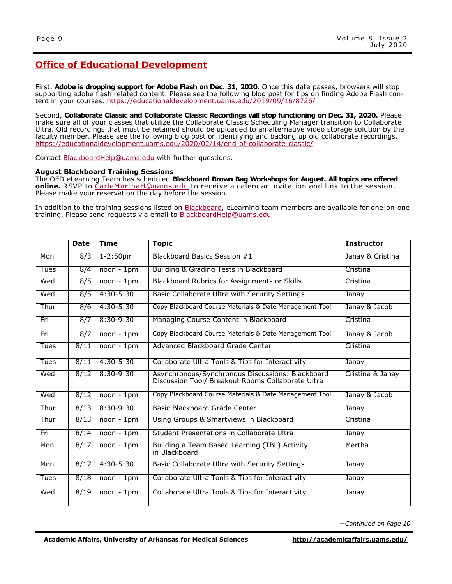First, **Adobe is dropping support for Adobe Flash on Dec. 31, 2020.** Once this date passes, browsers will stop supporting adobe flash related content. Please see the following blog post for tips on finding Adobe Flash content in your courses. <https://educationaldevelopment.uams.edu/2019/09/16/8726/>

Second, **Collaborate Classic and Collaborate Classic Recordings will stop functioning on Dec. 31, 2020.** Please make sure all of your classes that utilize the Collaborate Classic Scheduling Manager transition to Collaborate Ultra. Old recordings that must be retained should be uploaded to an alternative video storage solution by the faculty member. Please see the following blog post on identifying and backing up old collaborate recordings. [https://educationaldevelopment.uams.edu/2020/02/14/end](https://educationaldevelopment.uams.edu/2020/02/14/end-of-collaborate-classic/)-of-collaborate-classic/

Contact [BlackboardHelp@uams.edu](mailto:BlackboardHelp@uams.edu) with further questions.

#### **August Blackboard Training Sessions**

The OED eLearning Team has scheduled **Blackboard Brown Bag Workshops for August. All topics are offered online.** RSVP to [CarleMarthaH@uams.edu](mailto:CarleMarthaH@uams.edu) to receive a calendar invitation and link to the session. Please make your reservation the day before the session.

In addition to the training sessions listed on [Blackboard,](https://uams.blackboard.com/) eLearning team members are available for one-on-one training. Please send requests via email to **[BlackboardHelp@uams.edu](mailto:BlackboardHelp@uams.edu)** 

|      | <b>Date</b> | <b>Time</b>   | <b>Topic</b>                                                                                          | <b>Instructor</b> |
|------|-------------|---------------|-------------------------------------------------------------------------------------------------------|-------------------|
| Mon  | 8/3         | $1 - 2:50pm$  | Blackboard Basics Session #1                                                                          | Janay & Cristina  |
| Tues | 8/4         | $noon - 1pm$  | Building & Grading Tests in Blackboard                                                                | Cristina          |
| Wed  | 8/5         | $noon - 1pm$  | Blackboard Rubrics for Assignments or Skills                                                          | Cristina          |
| Wed  | 8/5         | $4:30 - 5:30$ | Basic Collaborate Ultra with Security Settings                                                        | Janay             |
| Thur | 8/6         | $4:30 - 5:30$ | Copy Blackboard Course Materials & Date Management Tool                                               | Janay & Jacob     |
| Fri  | 8/7         | $8:30 - 9:30$ | Managing Course Content in Blackboard                                                                 | Cristina          |
| Fri  | 8/7         | $noon - 1pm$  | Copy Blackboard Course Materials & Date Management Tool                                               | Janay & Jacob     |
| Tues | 8/11        | noon - 1pm    | Advanced Blackboard Grade Center                                                                      | Cristina          |
| Tues | 8/11        | $4:30 - 5:30$ | Collaborate Ultra Tools & Tips for Interactivity                                                      | Janay             |
| Wed  | 8/12        | $8:30 - 9:30$ | Asynchronous/Synchronous Discussions: Blackboard<br>Discussion Tool/ Breakout Rooms Collaborate Ultra | Cristina & Janay  |
| Wed  | 8/12        | $noon - 1pm$  | Copy Blackboard Course Materials & Date Management Tool                                               | Janay & Jacob     |
| Thur | 8/13        | $8:30 - 9:30$ | Basic Blackboard Grade Center                                                                         | Janay             |
| Thur | 8/13        | $noon - 1pm$  | Using Groups & Smartviews in Blackboard                                                               | Cristina          |
| Fri  | 8/14        | $noon - 1pm$  | Student Presentations in Collaborate Ultra                                                            | Janay             |
| Mon  | 8/17        | $noon - 1pm$  | Building a Team Based Learning (TBL) Activity<br>in Blackboard                                        | Martha            |
| Mon  | 8/17        | $4:30 - 5:30$ | Basic Collaborate Ultra with Security Settings                                                        | Janay             |
| Tues | 8/18        | $noon - 1pm$  | Collaborate Ultra Tools & Tips for Interactivity                                                      | Janay             |
| Wed  | 8/19        | $noon - 1pm$  | Collaborate Ultra Tools & Tips for Interactivity                                                      | Janay             |

*—Continued on Page 10*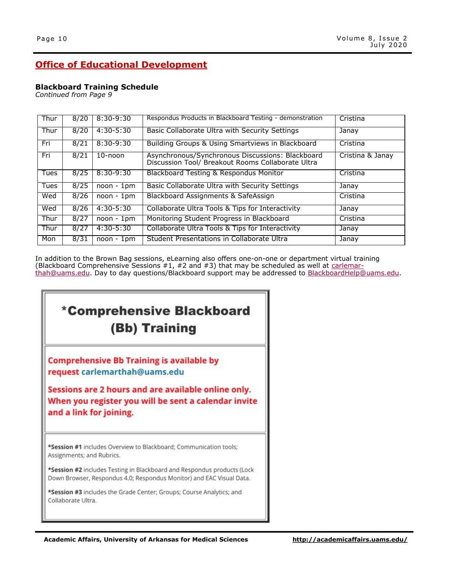### **Blackboard Training Schedule**

*Continued from Page 9*

| Thur | 8/20 | $8:30-9:30$   | Respondus Products in Blackboard Testing - demonstration                                              | Cristina         |
|------|------|---------------|-------------------------------------------------------------------------------------------------------|------------------|
| Thur | 8/20 | $4:30 - 5:30$ | Basic Collaborate Ultra with Security Settings                                                        | Janay            |
| Fri  | 8/21 | $8:30-9:30$   | Building Groups & Using Smartviews in Blackboard                                                      | Cristina         |
| Fri  | 8/21 | 10-noon       | Asynchronous/Synchronous Discussions: Blackboard<br>Discussion Tool/ Breakout Rooms Collaborate Ultra | Cristina & Janay |
| Tues | 8/25 | $8:30-9:30$   | Blackboard Testing & Respondus Monitor                                                                | Cristina         |
| Tues | 8/25 | $noon - 1pm$  | Basic Collaborate Ultra with Security Settings                                                        | Janay            |
| Wed  | 8/26 | $noon - 1pm$  | Blackboard Assignments & SafeAssign                                                                   | Cristina         |
| Wed  | 8/26 | $4:30 - 5:30$ | Collaborate Ultra Tools & Tips for Interactivity                                                      | Janay            |
| Thur | 8/27 | $noon - 1pm$  | Monitoring Student Progress in Blackboard                                                             | Cristina         |
| Thur | 8/27 | $4:30 - 5:30$ | Collaborate Ultra Tools & Tips for Interactivity                                                      | Janay            |
| Mon  | 8/31 | 1pm<br>noon - | Student Presentations in Collaborate Ultra                                                            | Janay            |

In addition to the Brown Bag sessions, eLearning also offers one-on-one or department virtual training (Blackboard Comprehensive Sessions #1, #2 and #3) that may be scheduled as well at [carlemar](mailto:carlemarthah@uams.edu)[thah@uams.edu.](mailto:carlemarthah@uams.edu) Day to day questions/Blackboard support may be addressed to [BlackboardHelp@uams.edu.](mailto:BlackboardHelp@uams.edu)

# \*Comprehensive Blackboard (Bb) Training

**Comprehensive Bb Training is available by** request carlemarthah@uams.edu

Sessions are 2 hours and are available online only. When you register you will be sent a calendar invite and a link for joining.

\*Session #1 includes Overview to Blackboard; Communication tools; Assignments; and Rubrics.

\*Session #2 includes Testing in Blackboard and Respondus products (Lock Down Browser, Respondus 4.0; Respondus Monitor) and EAC Visual Data.

\*Session #3 includes the Grade Center; Groups; Course Analytics; and Collaborate Ultra.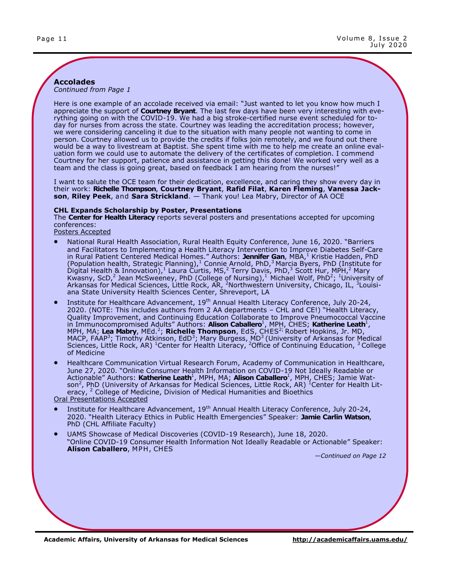#### **Accolades** *Continued from Page 1*

Here is one example of an accolade received via email: "Just wanted to let you know how much I appreciate the support of **Courtney Bryant**. The last few days have been very interesting with everything going on with the COVID-19. We had a big stroke-certified nurse event scheduled for today for nurses from across the state. Courtney was leading the accreditation process; however, we were considering canceling it due to the situation with many people not wanting to come in person. Courtney allowed us to provide the credits if folks join remotely, and we found out there would be a way to livestream at Baptist. She spent time with me to help me create an online evaluation form we could use to automate the delivery of the certificates of completion. I commend Courtney for her support, patience and assistance in getting this done! We worked very well as a team and the class is going great, based on feedback I am hearing from the nurses!"

I want to salute the OCE team for their dedication, excellence, and caring they show every day in their work: **Richelle Thompson**, **Courtney Bryant**, **Rafid Filat**, **Karen Fleming**, **Vanessa Jackson**, **Riley Peek**, and **Sara Strickland**. — Thank you! Lea Mabry, Director of AA OCE

#### **CHL Expands Scholarship by Poster, Presentations**

The **Center for Health Literacy** reports several posters and presentations accepted for upcoming conferences:

Posters Accepted

- National Rural Health Association, Rural Health Equity Conference, June 16, 2020. "Barriers and Facilitators to Implementing a Health Literacy Intervention to Improve Diabetes Self-Care in Rural Patient Centered Medical Homes." Authors: Jennifer Gan, MBA,<sup>1</sup> Kristie Hadden, PhD (Population health, Strategic Planning), <sup>1</sup> Connie Arnold, PhD, <sup>3</sup> Marcia Byers, PhD (Institute for Digital Health & Innovation), Laura Curtis, MS, 2 Terry Davis, PhD, 3 Scott Hur, MPH, 2 Mary Kwasny, ScD,<sup>2</sup> Jean McSweeney, PhD (College of Nursing), Michael Wolf, PhD<sup>2</sup>; <sup>1</sup>University of Arkansas for Medical Sciences, Little Rock, AR, <sup>2</sup>Northwestern University, Chicago, IL, <sup>3</sup>Louisiana State University Health Sciences Center, Shreveport, LA
- Institute for Healthcare Advancement, 19th Annual Health Literacy Conference, July 20-24, 2020. (NOTE: This includes authors from 2 AA departments – CHL and CE!) "Health Literacy, Quality Improvement, and Continuing Education Collaborate to Improve Pneumococcal Vaccine in Immunocompromised Adults" Authors: **Alison Caballero<sup>1</sup>, MPH, CHES; Katherine Leath<sup>1</sup>,** MPH, MA; **Lea Mabry**, MEd.<sup>2</sup> ; **Richelle Thompson**, EdS, CHES2; Robert Hopkins, Jr. MD, MACP, FAAP<sup>3</sup>; Timothy Atkinson, EdD<sup>3</sup>; Mary Burgess, MD<sup>3</sup> (University of Arkansas for Medical Sciences, Little Rock, AR) <sup>1</sup>Center for Health Literacy, <sup>2</sup>Office of Continuing Education, <sup>3</sup>College of Medicine
- Healthcare Communication Virtual Research Forum, Academy of Communication in Healthcare, June 27, 2020. "Online Consumer Health Information on COVID-19 Not Ideally Readable or Actionable" Authors: **Katherine Leath<sup>1</sup>, MPH, MA; <b>Alison Caballero**<sup>1</sup>, MPH, CHES; Jamie Watson<sup>2</sup>, PhD (University of Arkansas for Medical Sciences, Little Rock, AR)  $^{\rm 1}$ Center for Health Literacy, <sup>2</sup> College of Medicine, Division of Medical Humanities and Bioethics

Oral Presentations Accepted

- Institute for Healthcare Advancement, 19<sup>th</sup> Annual Health Literacy Conference, July 20-24, 2020. "Health Literacy Ethics in Public Health Emergencies" Speaker: **Jamie Carlin Watson**, PhD (CHL Affiliate Faculty)
- UAMS Showcase of Medical Discoveries (COVID-19 Research), June 18, 2020. "Online COVID-19 Consumer Health Information Not Ideally Readable or Actionable" Speaker: **Alison Caballero**, MPH, CHES

*—Continued on Page 12*

**Academic Affairs, University of Arkansas for Medical Sciences <http://academicaffairs.uams.edu/>**